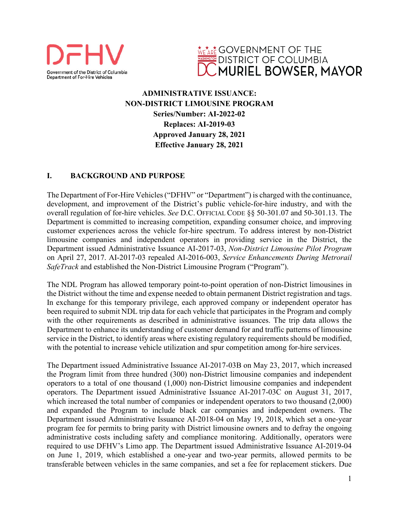



# **ADMINISTRATIVE ISSUANCE: NON-DISTRICT LIMOUSINE PROGRAM Series/Number: AI-2022-02 Replaces: AI-2019-03 Approved January 28, 2021 Effective January 28, 2021**

## **I. BACKGROUND AND PURPOSE**

The Department of For-Hire Vehicles ("DFHV" or "Department") is charged with the continuance, development, and improvement of the District's public vehicle-for-hire industry, and with the overall regulation of for-hire vehicles. *See* D.C. OFFICIAL CODE §§ 50-301.07 and 50-301.13. The Department is committed to increasing competition, expanding consumer choice, and improving customer experiences across the vehicle for-hire spectrum. To address interest by non-District limousine companies and independent operators in providing service in the District, the Department issued Administrative Issuance AI-2017-03, *Non-District Limousine Pilot Program* on April 27, 2017. AI-2017-03 repealed AI-2016-003, *Service Enhancements During Metrorail SafeTrack* and established the Non-District Limousine Program ("Program").

The NDL Program has allowed temporary point-to-point operation of non-District limousines in the District without the time and expense needed to obtain permanent District registration and tags. In exchange for this temporary privilege, each approved company or independent operator has been required to submit NDL trip data for each vehicle that participates in the Program and comply with the other requirements as described in administrative issuances. The trip data allows the Department to enhance its understanding of customer demand for and traffic patterns of limousine service in the District, to identify areas where existing regulatory requirements should be modified, with the potential to increase vehicle utilization and spur competition among for-hire services.

The Department issued Administrative Issuance AI-2017-03B on May 23, 2017, which increased the Program limit from three hundred (300) non-District limousine companies and independent operators to a total of one thousand (1,000) non-District limousine companies and independent operators. The Department issued Administrative Issuance AI-2017-03C on August 31, 2017, which increased the total number of companies or independent operators to two thousand (2,000) and expanded the Program to include black car companies and independent owners. The Department issued Administrative Issuance AI-2018-04 on May 19, 2018, which set a one-year program fee for permits to bring parity with District limousine owners and to defray the ongoing administrative costs including safety and compliance monitoring. Additionally, operators were required to use DFHV's Limo app. The Department issued Administrative Issuance AI-2019-04 on June 1, 2019, which established a one-year and two-year permits, allowed permits to be transferable between vehicles in the same companies, and set a fee for replacement stickers. Due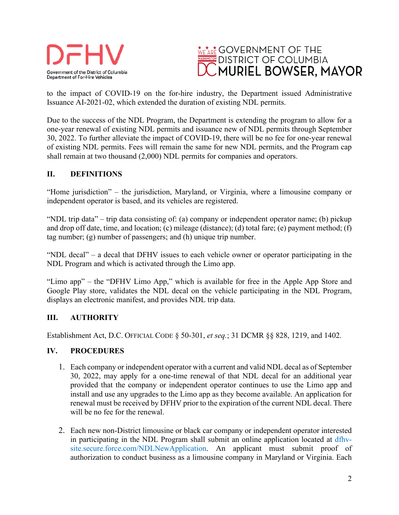



to the impact of COVID-19 on the for-hire industry, the Department issued Administrative Issuance AI-2021-02, which extended the duration of existing NDL permits.

Due to the success of the NDL Program, the Department is extending the program to allow for a one-year renewal of existing NDL permits and issuance new of NDL permits through September 30, 2022. To further alleviate the impact of COVID-19, there will be no fee for one-year renewal of existing NDL permits. Fees will remain the same for new NDL permits, and the Program cap shall remain at two thousand (2,000) NDL permits for companies and operators.

## **II. DEFINITIONS**

"Home jurisdiction" – the jurisdiction, Maryland, or Virginia, where a limousine company or independent operator is based, and its vehicles are registered.

"NDL trip data" – trip data consisting of: (a) company or independent operator name; (b) pickup and drop off date, time, and location; (c) mileage (distance); (d) total fare; (e) payment method; (f) tag number; (g) number of passengers; and (h) unique trip number.

"NDL decal" – a decal that DFHV issues to each vehicle owner or operator participating in the NDL Program and which is activated through the Limo app.

"Limo app" – the "DFHV Limo App," which is available for free in the Apple App Store and Google Play store, validates the NDL decal on the vehicle participating in the NDL Program, displays an electronic manifest, and provides NDL trip data.

## **III. AUTHORITY**

Establishment Act, D.C. OFFICIAL CODE § 50-301, *et seq.*; 31 DCMR §§ 828, 1219, and 1402.

## **IV. PROCEDURES**

- 1. Each company or independent operator with a current and valid NDL decal as of September 30, 2022, may apply for a one-time renewal of that NDL decal for an additional year provided that the company or independent operator continues to use the Limo app and install and use any upgrades to the Limo app as they become available. An application for renewal must be received by DFHV prior to the expiration of the current NDL decal. There will be no fee for the renewal.
- 2. Each new non-District limousine or black car company or independent operator interested in participating in the NDL Program shall submit an online application located at [dfhv](https://dfhv-site.secure.force.com/NDLNewApplication)[site.secure.force.com/NDLNewApplication.](https://dfhv-site.secure.force.com/NDLNewApplication) An applicant must submit proof of authorization to conduct business as a limousine company in Maryland or Virginia. Each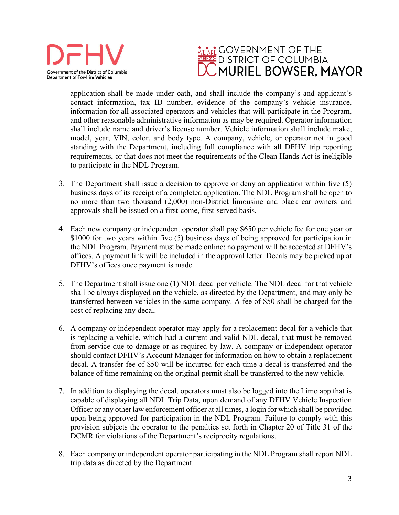



application shall be made under oath, and shall include the company's and applicant's contact information, tax ID number, evidence of the company's vehicle insurance, information for all associated operators and vehicles that will participate in the Program, and other reasonable administrative information as may be required. Operator information shall include name and driver's license number. Vehicle information shall include make, model, year, VIN, color, and body type. A company, vehicle, or operator not in good standing with the Department, including full compliance with all DFHV trip reporting requirements, or that does not meet the requirements of the Clean Hands Act is ineligible to participate in the NDL Program.

- 3. The Department shall issue a decision to approve or deny an application within five (5) business days of its receipt of a completed application. The NDL Program shall be open to no more than two thousand (2,000) non-District limousine and black car owners and approvals shall be issued on a first-come, first-served basis.
- 4. Each new company or independent operator shall pay \$650 per vehicle fee for one year or \$1000 for two years within five (5) business days of being approved for participation in the NDL Program. Payment must be made online; no payment will be accepted at DFHV's offices. A payment link will be included in the approval letter. Decals may be picked up at DFHV's offices once payment is made.
- 5. The Department shall issue one (1) NDL decal per vehicle. The NDL decal for that vehicle shall be always displayed on the vehicle, as directed by the Department, and may only be transferred between vehicles in the same company. A fee of \$50 shall be charged for the cost of replacing any decal.
- 6. A company or independent operator may apply for a replacement decal for a vehicle that is replacing a vehicle, which had a current and valid NDL decal, that must be removed from service due to damage or as required by law. A company or independent operator should contact DFHV's Account Manager for information on how to obtain a replacement decal. A transfer fee of \$50 will be incurred for each time a decal is transferred and the balance of time remaining on the original permit shall be transferred to the new vehicle.
- 7. In addition to displaying the decal, operators must also be logged into the Limo app that is capable of displaying all NDL Trip Data, upon demand of any DFHV Vehicle Inspection Officer or any other law enforcement officer at all times, a login for which shall be provided upon being approved for participation in the NDL Program. Failure to comply with this provision subjects the operator to the penalties set forth in Chapter 20 of Title 31 of the DCMR for violations of the Department's reciprocity regulations.
- 8. Each company or independent operator participating in the NDL Program shall report NDL trip data as directed by the Department.